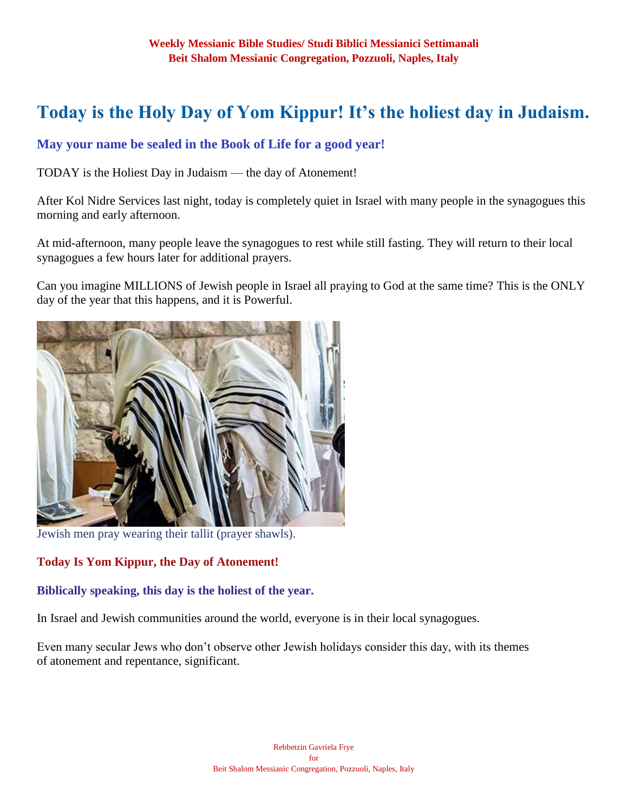# **Today is the Holy Day of Yom Kippur! It's the holiest day in Judaism.**

# **May your name be sealed in the Book of Life for a good year!**

TODAY is the Holiest Day in Judaism — the day of Atonement!

After Kol Nidre Services last night, today is completely quiet in Israel with many people in the synagogues this morning and early afternoon.

At mid-afternoon, many people leave the synagogues to rest while still fasting. They will return to their local synagogues a few hours later for additional prayers.

Can you imagine MILLIONS of Jewish people in Israel all praying to God at the same time? This is the ONLY day of the year that this happens, and it is Powerful.



Jewish men pray wearing their tallit (prayer shawls).

#### **Today Is Yom Kippur, the Day of Atonement!**

#### **Biblically speaking, this day is the holiest of the year.**

In Israel and Jewish communities around the world, everyone is in their local synagogues.

Even many secular Jews who don't observe other Jewish holidays consider this day, with its themes of atonement and repentance, significant.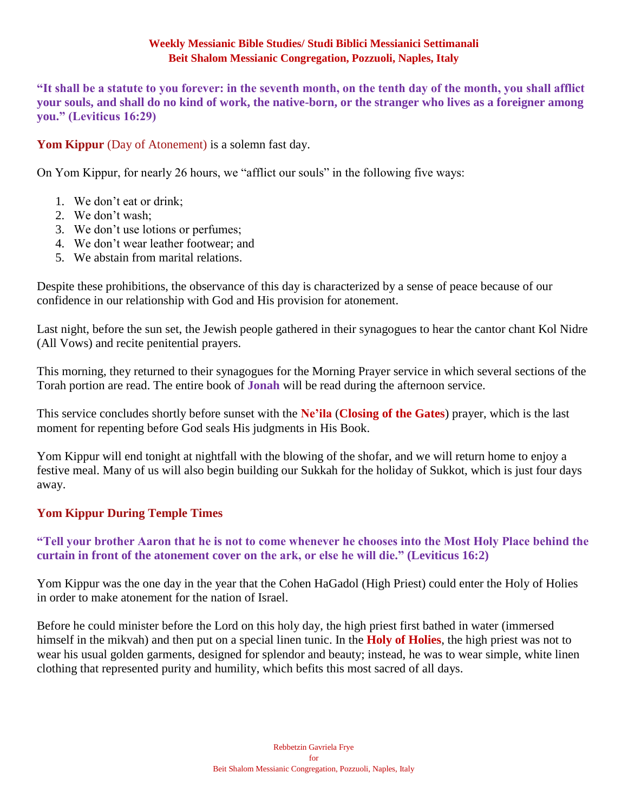**"It shall be a statute to you forever: in the seventh month, on the tenth day of the month, you shall afflict your souls, and shall do no kind of work, the native-born, or the stranger who lives as a foreigner among you." (Leviticus 16:29)**

**Yom Kippur** (Day of Atonement) is a solemn fast day.

On Yom Kippur, for nearly 26 hours, we "afflict our souls" in the following five ways:

- 1. We don't eat or drink;
- 2. We don't wash;
- 3. We don't use lotions or perfumes;
- 4. We don't wear leather footwear; and
- 5. We abstain from marital relations.

Despite these prohibitions, the observance of this day is characterized by a sense of peace because of our confidence in our relationship with God and His provision for atonement.

Last night, before the sun set, the Jewish people gathered in their synagogues to hear the cantor chant Kol Nidre (All Vows) and recite penitential prayers.

This morning, they returned to their synagogues for the Morning Prayer service in which several sections of the Torah portion are read. The entire book of **Jonah** will be read during the afternoon service.

This service concludes shortly before sunset with the **Ne'ila** (**Closing of the Gates**) prayer, which is the last moment for repenting before God seals His judgments in His Book.

Yom Kippur will end tonight at nightfall with the blowing of the shofar, and we will return home to enjoy a festive meal. Many of us will also begin building our Sukkah for the holiday of Sukkot, which is just four days away.

# **Yom Kippur During Temple Times**

# **"Tell your brother Aaron that he is not to come whenever he chooses into the Most Holy Place behind the curtain in front of the atonement cover on the ark, or else he will die." (Leviticus 16:2)**

Yom Kippur was the one day in the year that the Cohen HaGadol (High Priest) could enter the Holy of Holies in order to make atonement for the nation of Israel.

Before he could minister before the Lord on this holy day, the high priest first bathed in water (immersed himself in the mikvah) and then put on a special linen tunic. In the **Holy of Holies**, the high priest was not to wear his usual golden garments, designed for splendor and beauty; instead, he was to wear simple, white linen clothing that represented purity and humility, which befits this most sacred of all days.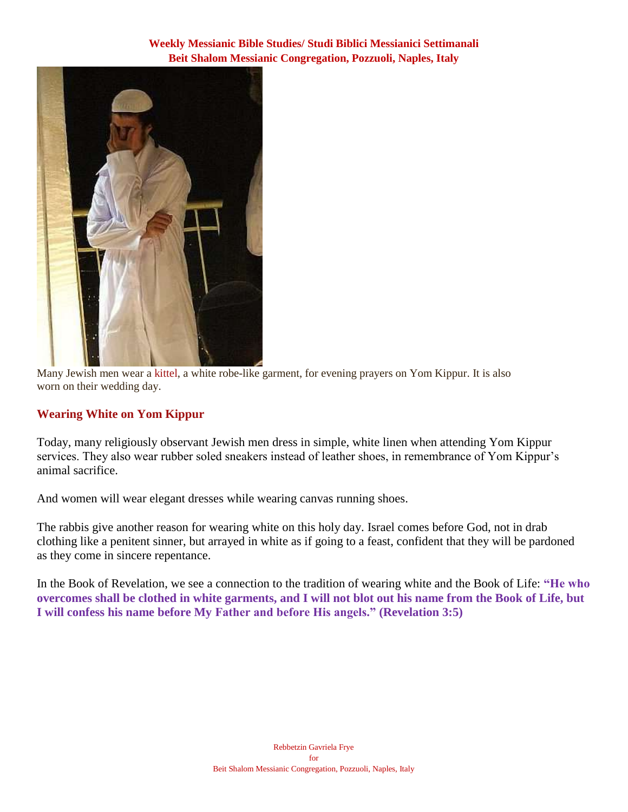

Many Jewish men wear a kittel, a white robe-like garment, for evening prayers on Yom Kippur. It is also worn on their wedding day.

# **Wearing White on Yom Kippur**

Today, many religiously observant Jewish men dress in simple, white linen when attending Yom Kippur services. They also wear rubber soled sneakers instead of leather shoes, in remembrance of Yom Kippur's animal sacrifice.

And women will wear elegant dresses while wearing canvas running shoes.

The rabbis give another reason for wearing white on this holy day. Israel comes before God, not in drab clothing like a penitent sinner, but arrayed in white as if going to a feast, confident that they will be pardoned as they come in sincere repentance.

In the Book of Revelation, we see a connection to the tradition of wearing white and the Book of Life: **"He who overcomes shall be clothed in white garments, and I will not blot out his name from the Book of Life, but I will confess his name before My Father and before His angels." (Revelation 3:5)**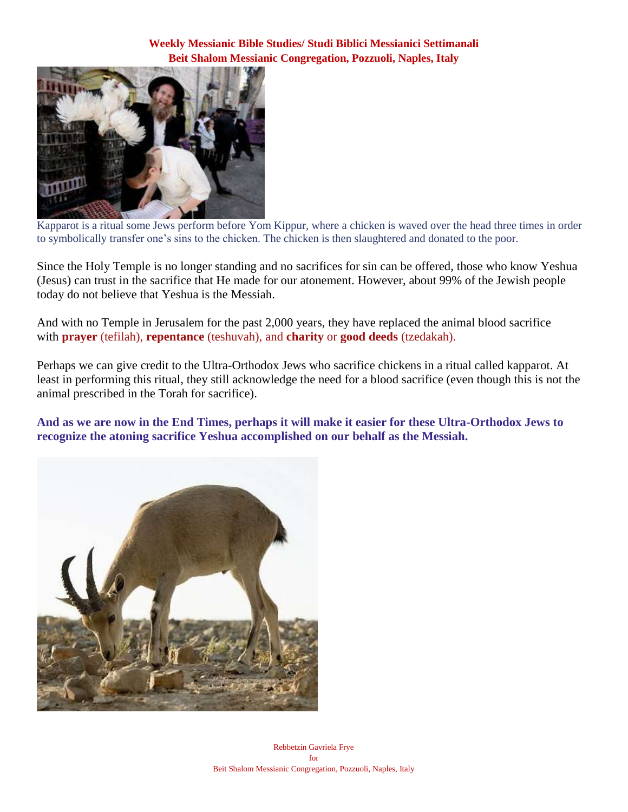

Kapparot is a ritual some Jews perform before Yom Kippur, where a chicken is waved over the head three times in order to symbolically transfer one's sins to the chicken. The chicken is then slaughtered and donated to the poor.

Since the Holy Temple is no longer standing and no sacrifices for sin can be offered, those who know Yeshua (Jesus) can trust in the sacrifice that He made for our atonement. However, about 99% of the Jewish people today do not believe that Yeshua is the Messiah.

And with no Temple in Jerusalem for the past 2,000 years, they have replaced the animal blood sacrifice with **prayer** (tefilah), **repentance** (teshuvah), and **charity** or **good deeds** (tzedakah).

Perhaps we can give credit to the Ultra-Orthodox Jews who sacrifice chickens in a ritual called kapparot. At least in performing this ritual, they still acknowledge the need for a blood sacrifice (even though this is not the animal prescribed in the Torah for sacrifice).

**And as we are now in the End Times, perhaps it will make it easier for these Ultra-Orthodox Jews to recognize the atoning sacrifice Yeshua accomplished on our behalf as the Messiah.**

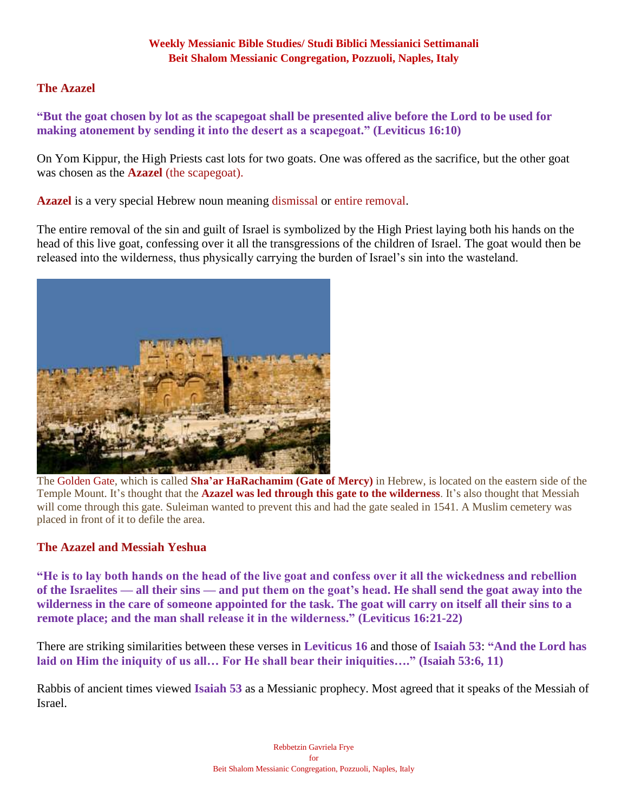#### **The Azazel**

**"But the goat chosen by lot as the scapegoat shall be presented alive before the Lord to be used for making atonement by sending it into the desert as a scapegoat." (Leviticus 16:10)**

On Yom Kippur, the High Priests cast lots for two goats. One was offered as the sacrifice, but the other goat was chosen as the **Azazel** (the scapegoat).

**Azazel** is a very special Hebrew noun meaning dismissal or entire removal.

The entire removal of the sin and guilt of Israel is symbolized by the High Priest laying both his hands on the head of this live goat, confessing over it all the transgressions of the children of Israel. The goat would then be released into the wilderness, thus physically carrying the burden of Israel's sin into the wasteland.



The Golden Gate, which is called **Sha'ar HaRachamim (Gate of Mercy)** in Hebrew, is located on the eastern side of the Temple Mount. It's thought that the **Azazel was led through this gate to the wilderness**. It's also thought that Messiah will come through this gate. Suleiman wanted to prevent this and had the gate sealed in 1541. A Muslim cemetery was placed in front of it to defile the area.

#### **The Azazel and Messiah Yeshua**

**"He is to lay both hands on the head of the live goat and confess over it all the wickedness and rebellion of the Israelites — all their sins — and put them on the goat's head. He shall send the goat away into the wilderness in the care of someone appointed for the task. The goat will carry on itself all their sins to a remote place; and the man shall release it in the wilderness." (Leviticus 16:21-22)**

There are striking similarities between these verses in **Leviticus 16** and those of **Isaiah 53**: **"And the Lord has laid on Him the iniquity of us all… For He shall bear their iniquities…." (Isaiah 53:6, 11)**

Rabbis of ancient times viewed **Isaiah 53** as a Messianic prophecy. Most agreed that it speaks of the Messiah of Israel.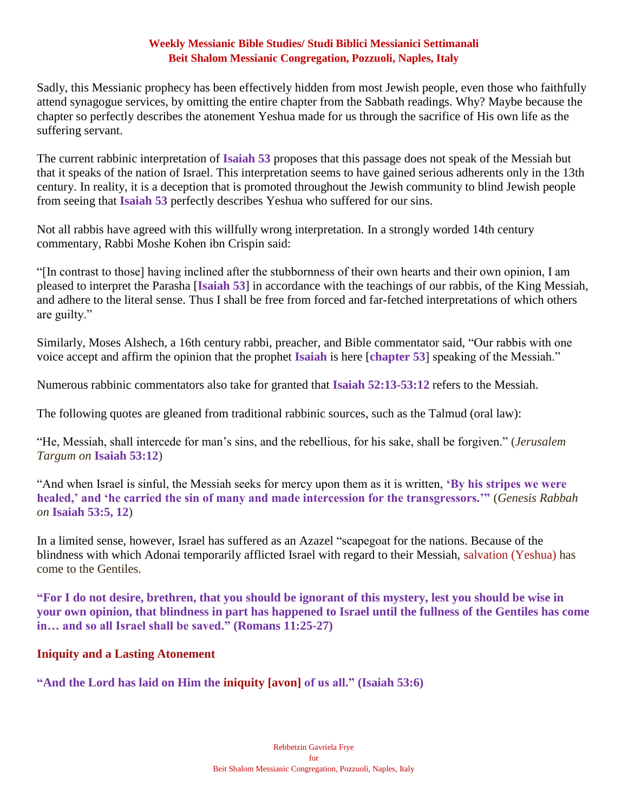Sadly, this Messianic prophecy has been effectively hidden from most Jewish people, even those who faithfully attend synagogue services, by omitting the entire chapter from the Sabbath readings. Why? Maybe because the chapter so perfectly describes the atonement Yeshua made for us through the sacrifice of His own life as the suffering servant.

The current rabbinic interpretation of **Isaiah 53** proposes that this passage does not speak of the Messiah but that it speaks of the nation of Israel. This interpretation seems to have gained serious adherents only in the 13th century. In reality, it is a deception that is promoted throughout the Jewish community to blind Jewish people from seeing that **Isaiah 53** perfectly describes Yeshua who suffered for our sins.

Not all rabbis have agreed with this willfully wrong interpretation. In a strongly worded 14th century commentary, Rabbi Moshe Kohen ibn Crispin said:

"[In contrast to those] having inclined after the stubbornness of their own hearts and their own opinion, I am pleased to interpret the Parasha [**Isaiah 53**] in accordance with the teachings of our rabbis, of the King Messiah, and adhere to the literal sense. Thus I shall be free from forced and far-fetched interpretations of which others are guilty."

Similarly, Moses Alshech, a 16th century rabbi, preacher, and Bible commentator said, "Our rabbis with one voice accept and affirm the opinion that the prophet **Isaiah** is here [**chapter 53**] speaking of the Messiah."

Numerous rabbinic commentators also take for granted that **Isaiah 52:13-53:12** refers to the Messiah.

The following quotes are gleaned from traditional rabbinic sources, such as the Talmud (oral law):

"He, Messiah, shall intercede for man's sins, and the rebellious, for his sake, shall be forgiven." (*Jerusalem Targum on* **Isaiah 53:12**)

"And when Israel is sinful, the Messiah seeks for mercy upon them as it is written, **'By his stripes we were healed,' and 'he carried the sin of many and made intercession for the transgressors.'"** (*Genesis Rabbah on* **Isaiah 53:5, 12**)

In a limited sense, however, Israel has suffered as an Azazel "scapegoat for the nations. Because of the blindness with which Adonai temporarily afflicted Israel with regard to their Messiah, salvation (Yeshua) has come to the Gentiles.

**"For I do not desire, brethren, that you should be ignorant of this mystery, lest you should be wise in your own opinion, that blindness in part has happened to Israel until the fullness of the Gentiles has come in… and so all Israel shall be saved." (Romans 11:25-27)**

#### **Iniquity and a Lasting Atonement**

**"And the Lord has laid on Him the iniquity [avon] of us all." (Isaiah 53:6)**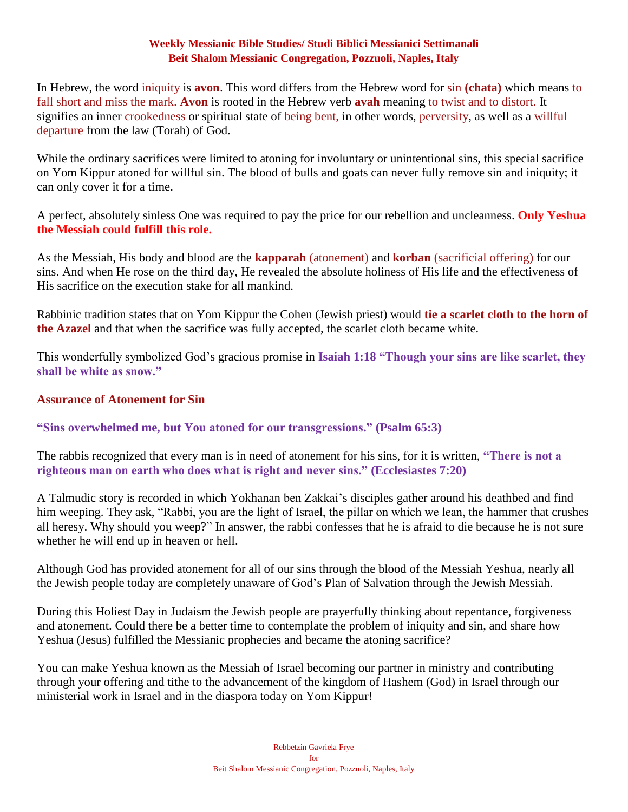In Hebrew, the word iniquity is **avon**. This word differs from the Hebrew word for sin **(chata)** which means to fall short and miss the mark. **Avon** is rooted in the Hebrew verb **avah** meaning to twist and to distort. It signifies an inner crookedness or spiritual state of being bent, in other words, perversity, as well as a willful departure from the law (Torah) of God.

While the ordinary sacrifices were limited to atoning for involuntary or unintentional sins, this special sacrifice on Yom Kippur atoned for willful sin. The blood of bulls and goats can never fully remove sin and iniquity; it can only cover it for a time.

A perfect, absolutely sinless One was required to pay the price for our rebellion and uncleanness. **Only Yeshua the Messiah could fulfill this role.**

As the Messiah, His body and blood are the **kapparah** (atonement) and **korban** (sacrificial offering) for our sins. And when He rose on the third day, He revealed the absolute holiness of His life and the effectiveness of His sacrifice on the execution stake for all mankind.

Rabbinic tradition states that on Yom Kippur the Cohen (Jewish priest) would **tie a scarlet cloth to the horn of the Azazel** and that when the sacrifice was fully accepted, the scarlet cloth became white.

This wonderfully symbolized God's gracious promise in **Isaiah 1:18 "Though your sins are like scarlet, they shall be white as snow."**

# **Assurance of Atonement for Sin**

# **"Sins overwhelmed me, but You atoned for our transgressions." (Psalm 65:3)**

The rabbis recognized that every man is in need of atonement for his sins, for it is written, **"There is not a righteous man on earth who does what is right and never sins." (Ecclesiastes 7:20)**

A Talmudic story is recorded in which Yokhanan ben Zakkai's disciples gather around his deathbed and find him weeping. They ask, "Rabbi, you are the light of Israel, the pillar on which we lean, the hammer that crushes all heresy. Why should you weep?" In answer, the rabbi confesses that he is afraid to die because he is not sure whether he will end up in heaven or hell.

Although God has provided atonement for all of our sins through the blood of the Messiah Yeshua, nearly all the Jewish people today are completely unaware of God's Plan of Salvation through the Jewish Messiah.

During this Holiest Day in Judaism the Jewish people are prayerfully thinking about repentance, forgiveness and atonement. Could there be a better time to contemplate the problem of iniquity and sin, and share how Yeshua (Jesus) fulfilled the Messianic prophecies and became the atoning sacrifice?

You can make Yeshua known as the Messiah of Israel becoming our partner in ministry and contributing through your offering and tithe to the advancement of the kingdom of Hashem (God) in Israel through our ministerial work in Israel and in the diaspora today on Yom Kippur!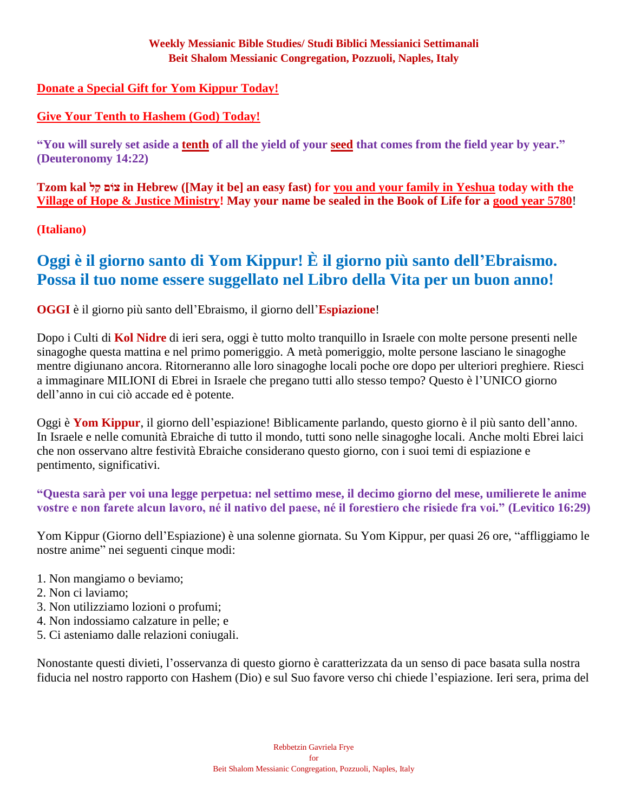# **[Donate a Special Gift for Yom Kippur Today!](https://villageofhopejusticeministry.org/)**

# **[Give Your Tenth to Hashem \(God\) Today!](https://villageofhopejusticeministry.org/)**

**"You will surely set aside a [tenth](https://villageofhopejusticeministry.org/) of all the yield of your [seed](https://villageofhopejusticeministry.org/) that comes from the field year by year." (Deuteronomy 14:22)**

**Tzom kal ל ַק וםֹצ in Hebrew ([May it be] an easy fast) for [you and your family in Yeshua](https://villageofhopejusticeministry.org/) today with the [Village of Hope & Justice Ministry!](https://villageofhopejusticeministry.org/) May your name be sealed in the Book of Life for a [good year 5780](https://villageofhopejusticeministry.org/)**!

**(Italiano)**

# **Oggi è il giorno santo di Yom Kippur! È il giorno più santo dell'Ebraismo. Possa il tuo nome essere suggellato nel Libro della Vita per un buon anno!**

# **OGGI** è il giorno più santo dell'Ebraismo, il giorno dell'**Espiazione**!

Dopo i Culti di **Kol Nidre** di ieri sera, oggi è tutto molto tranquillo in Israele con molte persone presenti nelle sinagoghe questa mattina e nel primo pomeriggio. A metà pomeriggio, molte persone lasciano le sinagoghe mentre digiunano ancora. Ritorneranno alle loro sinagoghe locali poche ore dopo per ulteriori preghiere. Riesci a immaginare MILIONI di Ebrei in Israele che pregano tutti allo stesso tempo? Questo è l'UNICO giorno dell'anno in cui ciò accade ed è potente.

Oggi è **Yom Kippur**, il giorno dell'espiazione! Biblicamente parlando, questo giorno è il più santo dell'anno. In Israele e nelle comunità Ebraiche di tutto il mondo, tutti sono nelle sinagoghe locali. Anche molti Ebrei laici che non osservano altre festività Ebraiche considerano questo giorno, con i suoi temi di espiazione e pentimento, significativi.

**"Questa sarà per voi una legge perpetua: nel settimo mese, il decimo giorno del mese, umilierete le anime vostre e non farete alcun lavoro, né il nativo del paese, né il forestiero che risiede fra voi." (Levitico 16:29)**

Yom Kippur (Giorno dell'Espiazione) è una solenne giornata. Su Yom Kippur, per quasi 26 ore, "affliggiamo le nostre anime" nei seguenti cinque modi:

- 1. Non mangiamo o beviamo;
- 2. Non ci laviamo;
- 3. Non utilizziamo lozioni o profumi;
- 4. Non indossiamo calzature in pelle; e
- 5. Ci asteniamo dalle relazioni coniugali.

Nonostante questi divieti, l'osservanza di questo giorno è caratterizzata da un senso di pace basata sulla nostra fiducia nel nostro rapporto con Hashem (Dio) e sul Suo favore verso chi chiede l'espiazione. Ieri sera, prima del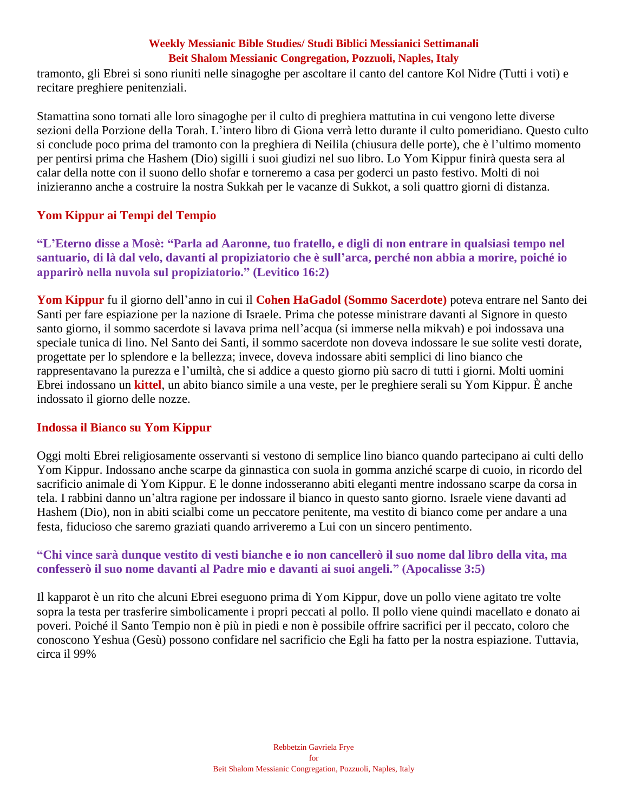tramonto, gli Ebrei si sono riuniti nelle sinagoghe per ascoltare il canto del cantore Kol Nidre (Tutti i voti) e recitare preghiere penitenziali.

Stamattina sono tornati alle loro sinagoghe per il culto di preghiera mattutina in cui vengono lette diverse sezioni della Porzione della Torah. L'intero libro di Giona verrà letto durante il culto pomeridiano. Questo culto si conclude poco prima del tramonto con la preghiera di Neilila (chiusura delle porte), che è l'ultimo momento per pentirsi prima che Hashem (Dio) sigilli i suoi giudizi nel suo libro. Lo Yom Kippur finirà questa sera al calar della notte con il suono dello shofar e torneremo a casa per goderci un pasto festivo. Molti di noi inizieranno anche a costruire la nostra Sukkah per le vacanze di Sukkot, a soli quattro giorni di distanza.

# **Yom Kippur ai Tempi del Tempio**

**"L'Eterno disse a Mosè: "Parla ad Aaronne, tuo fratello, e digli di non entrare in qualsiasi tempo nel santuario, di là dal velo, davanti al propiziatorio che è sull'arca, perché non abbia a morire, poiché io apparirò nella nuvola sul propiziatorio." (Levitico 16:2)**

**Yom Kippur** fu il giorno dell'anno in cui il **Cohen HaGadol (Sommo Sacerdote)** poteva entrare nel Santo dei Santi per fare espiazione per la nazione di Israele. Prima che potesse ministrare davanti al Signore in questo santo giorno, il sommo sacerdote si lavava prima nell'acqua (si immerse nella mikvah) e poi indossava una speciale tunica di lino. Nel Santo dei Santi, il sommo sacerdote non doveva indossare le sue solite vesti dorate, progettate per lo splendore e la bellezza; invece, doveva indossare abiti semplici di lino bianco che rappresentavano la purezza e l'umiltà, che si addice a questo giorno più sacro di tutti i giorni. Molti uomini Ebrei indossano un **kittel**, un abito bianco simile a una veste, per le preghiere serali su Yom Kippur. È anche indossato il giorno delle nozze.

# **Indossa il Bianco su Yom Kippur**

Oggi molti Ebrei religiosamente osservanti si vestono di semplice lino bianco quando partecipano ai culti dello Yom Kippur. Indossano anche scarpe da ginnastica con suola in gomma anziché scarpe di cuoio, in ricordo del sacrificio animale di Yom Kippur. E le donne indosseranno abiti eleganti mentre indossano scarpe da corsa in tela. I rabbini danno un'altra ragione per indossare il bianco in questo santo giorno. Israele viene davanti ad Hashem (Dio), non in abiti scialbi come un peccatore penitente, ma vestito di bianco come per andare a una festa, fiducioso che saremo graziati quando arriveremo a Lui con un sincero pentimento.

# **"Chi vince sarà dunque vestito di vesti bianche e io non cancellerò il suo nome dal libro della vita, ma confesserò il suo nome davanti al Padre mio e davanti ai suoi angeli." (Apocalisse 3:5)**

Il kapparot è un rito che alcuni Ebrei eseguono prima di Yom Kippur, dove un pollo viene agitato tre volte sopra la testa per trasferire simbolicamente i propri peccati al pollo. Il pollo viene quindi macellato e donato ai poveri. Poiché il Santo Tempio non è più in piedi e non è possibile offrire sacrifici per il peccato, coloro che conoscono Yeshua (Gesù) possono confidare nel sacrificio che Egli ha fatto per la nostra espiazione. Tuttavia, circa il 99%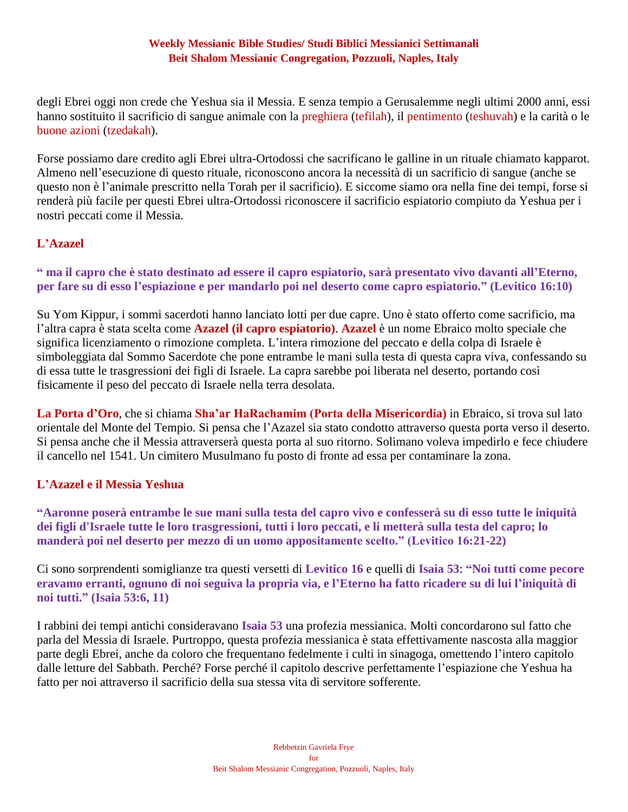degli Ebrei oggi non crede che Yeshua sia il Messia. E senza tempio a Gerusalemme negli ultimi 2000 anni, essi hanno sostituito il sacrificio di sangue animale con la preghiera (tefilah), il pentimento (teshuvah) e la carità o le buone azioni (tzedakah).

Forse possiamo dare credito agli Ebrei ultra-Ortodossi che sacrificano le galline in un rituale chiamato kapparot. Almeno nell'esecuzione di questo rituale, riconoscono ancora la necessità di un sacrificio di sangue (anche se questo non è l'animale prescritto nella Torah per il sacrificio). E siccome siamo ora nella fine dei tempi, forse si renderà più facile per questi Ebrei ultra-Ortodossi riconoscere il sacrificio espiatorio compiuto da Yeshua per i nostri peccati come il Messia.

# **L'Azazel**

# **" ma il capro che è stato destinato ad essere il capro espiatorio, sarà presentato vivo davanti all'Eterno, per fare su di esso l'espiazione e per mandarlo poi nel deserto come capro espiatorio." (Levitico 16:10)**

Su Yom Kippur, i sommi sacerdoti hanno lanciato lotti per due capre. Uno è stato offerto come sacrificio, ma l'altra capra è stata scelta come **Azazel (il capro espiatorio)**. **Azazel** è un nome Ebraico molto speciale che significa licenziamento o rimozione completa. L'intera rimozione del peccato e della colpa di Israele è simboleggiata dal Sommo Sacerdote che pone entrambe le mani sulla testa di questa capra viva, confessando su di essa tutte le trasgressioni dei figli di Israele. La capra sarebbe poi liberata nel deserto, portando così fisicamente il peso del peccato di Israele nella terra desolata.

**La Porta d'Oro**, che si chiama **Sha'ar HaRachamim (Porta della Misericordia)** in Ebraico, si trova sul lato orientale del Monte del Tempio. Si pensa che l'Azazel sia stato condotto attraverso questa porta verso il deserto. Si pensa anche che il Messia attraverserà questa porta al suo ritorno. Solimano voleva impedirlo e fece chiudere il cancello nel 1541. Un cimitero Musulmano fu posto di fronte ad essa per contaminare la zona.

# **L'Azazel e il Messia Yeshua**

**"Aaronne poserà entrambe le sue mani sulla testa del capro vivo e confesserà su di esso tutte le iniquità dei figli d'Israele tutte le loro trasgressioni, tutti i loro peccati, e li metterà sulla testa del capro; lo manderà poi nel deserto per mezzo di un uomo appositamente scelto." (Levitico 16:21-22)**

Ci sono sorprendenti somiglianze tra questi versetti di **Levitico 16** e quelli di **Isaia 53**: **"Noi tutti come pecore eravamo erranti, ognuno di noi seguiva la propria via, e l'Eterno ha fatto ricadere su di lui l'iniquità di noi tutti." (Isaia 53:6, 11)**

I rabbini dei tempi antichi consideravano **Isaia 53** una profezia messianica. Molti concordarono sul fatto che parla del Messia di Israele. Purtroppo, questa profezia messianica è stata effettivamente nascosta alla maggior parte degli Ebrei, anche da coloro che frequentano fedelmente i culti in sinagoga, omettendo l'intero capitolo dalle letture del Sabbath. Perché? Forse perché il capitolo descrive perfettamente l'espiazione che Yeshua ha fatto per noi attraverso il sacrificio della sua stessa vita di servitore sofferente.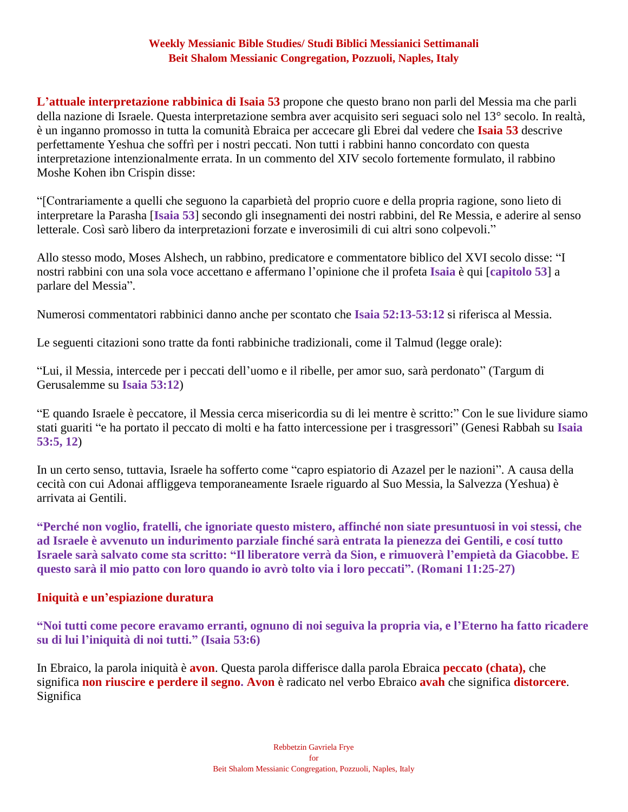**L'attuale interpretazione rabbinica di Isaia 53** propone che questo brano non parli del Messia ma che parli della nazione di Israele. Questa interpretazione sembra aver acquisito seri seguaci solo nel 13° secolo. In realtà, è un inganno promosso in tutta la comunità Ebraica per accecare gli Ebrei dal vedere che **Isaia 53** descrive perfettamente Yeshua che soffrì per i nostri peccati. Non tutti i rabbini hanno concordato con questa interpretazione intenzionalmente errata. In un commento del XIV secolo fortemente formulato, il rabbino Moshe Kohen ibn Crispin disse:

"[Contrariamente a quelli che seguono la caparbietà del proprio cuore e della propria ragione, sono lieto di interpretare la Parasha [**Isaia 53**] secondo gli insegnamenti dei nostri rabbini, del Re Messia, e aderire al senso letterale. Così sarò libero da interpretazioni forzate e inverosimili di cui altri sono colpevoli."

Allo stesso modo, Moses Alshech, un rabbino, predicatore e commentatore biblico del XVI secolo disse: "I nostri rabbini con una sola voce accettano e affermano l'opinione che il profeta **Isaia** è qui [**capitolo 53**] a parlare del Messia".

Numerosi commentatori rabbinici danno anche per scontato che **Isaia 52:13-53:12** si riferisca al Messia.

Le seguenti citazioni sono tratte da fonti rabbiniche tradizionali, come il Talmud (legge orale):

"Lui, il Messia, intercede per i peccati dell'uomo e il ribelle, per amor suo, sarà perdonato" (Targum di Gerusalemme su **Isaia 53:12**)

"E quando Israele è peccatore, il Messia cerca misericordia su di lei mentre è scritto:" Con le sue lividure siamo stati guariti "e ha portato il peccato di molti e ha fatto intercessione per i trasgressori" (Genesi Rabbah su **Isaia 53:5, 12**)

In un certo senso, tuttavia, Israele ha sofferto come "capro espiatorio di Azazel per le nazioni". A causa della cecità con cui Adonai affliggeva temporaneamente Israele riguardo al Suo Messia, la Salvezza (Yeshua) è arrivata ai Gentili.

**"Perché non voglio, fratelli, che ignoriate questo mistero, affinché non siate presuntuosi in voi stessi, che ad Israele è avvenuto un indurimento parziale finché sarà entrata la pienezza dei Gentili, e cosí tutto Israele sarà salvato come sta scritto: "Il liberatore verrà da Sion, e rimuoverà l'empietà da Giacobbe. E questo sarà il mio patto con loro quando io avrò tolto via i loro peccati". (Romani 11:25-27)**

#### **Iniquità e un'espiazione duratura**

**"Noi tutti come pecore eravamo erranti, ognuno di noi seguiva la propria via, e l'Eterno ha fatto ricadere su di lui l'iniquità di noi tutti." (Isaia 53:6)**

In Ebraico, la parola iniquità è **avon**. Questa parola differisce dalla parola Ebraica **peccato (chata),** che significa **non riuscire e perdere il segno. Avon** è radicato nel verbo Ebraico **avah** che significa **distorcere**. Significa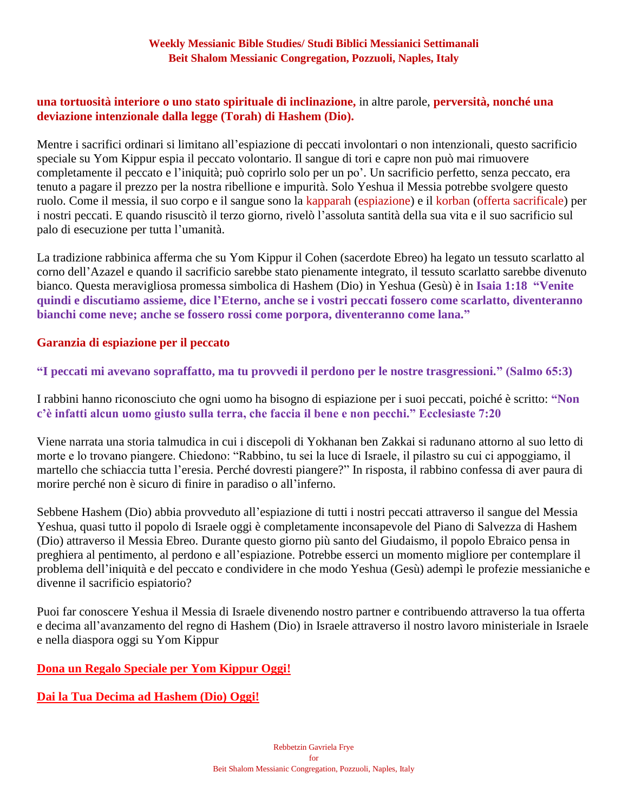# **una tortuosità interiore o uno stato spirituale di inclinazione,** in altre parole, **perversità, nonché una deviazione intenzionale dalla legge (Torah) di Hashem (Dio).**

Mentre i sacrifici ordinari si limitano all'espiazione di peccati involontari o non intenzionali, questo sacrificio speciale su Yom Kippur espia il peccato volontario. Il sangue di tori e capre non può mai rimuovere completamente il peccato e l'iniquità; può coprirlo solo per un po'. Un sacrificio perfetto, senza peccato, era tenuto a pagare il prezzo per la nostra ribellione e impurità. Solo Yeshua il Messia potrebbe svolgere questo ruolo. Come il messia, il suo corpo e il sangue sono la kapparah (espiazione) e il korban (offerta sacrificale) per i nostri peccati. E quando risuscitò il terzo giorno, rivelò l'assoluta santità della sua vita e il suo sacrificio sul palo di esecuzione per tutta l'umanità.

La tradizione rabbinica afferma che su Yom Kippur il Cohen (sacerdote Ebreo) ha legato un tessuto scarlatto al corno dell'Azazel e quando il sacrificio sarebbe stato pienamente integrato, il tessuto scarlatto sarebbe divenuto bianco. Questa meravigliosa promessa simbolica di Hashem (Dio) in Yeshua (Gesù) è in **Isaia 1:18 "Venite quindi e discutiamo assieme, dice l'Eterno, anche se i vostri peccati fossero come scarlatto, diventeranno bianchi come neve; anche se fossero rossi come porpora, diventeranno come lana."**

#### **Garanzia di espiazione per il peccato**

**"I peccati mi avevano sopraffatto, ma tu provvedi il perdono per le nostre trasgressioni." (Salmo 65:3)**

I rabbini hanno riconosciuto che ogni uomo ha bisogno di espiazione per i suoi peccati, poiché è scritto: **"Non c'è infatti alcun uomo giusto sulla terra, che faccia il bene e non pecchi." Ecclesiaste 7:20**

Viene narrata una storia talmudica in cui i discepoli di Yokhanan ben Zakkai si radunano attorno al suo letto di morte e lo trovano piangere. Chiedono: "Rabbino, tu sei la luce di Israele, il pilastro su cui ci appoggiamo, il martello che schiaccia tutta l'eresia. Perché dovresti piangere?" In risposta, il rabbino confessa di aver paura di morire perché non è sicuro di finire in paradiso o all'inferno.

Sebbene Hashem (Dio) abbia provveduto all'espiazione di tutti i nostri peccati attraverso il sangue del Messia Yeshua, quasi tutto il popolo di Israele oggi è completamente inconsapevole del Piano di Salvezza di Hashem (Dio) attraverso il Messia Ebreo. Durante questo giorno più santo del Giudaismo, il popolo Ebraico pensa in preghiera al pentimento, al perdono e all'espiazione. Potrebbe esserci un momento migliore per contemplare il problema dell'iniquità e del peccato e condividere in che modo Yeshua (Gesù) adempì le profezie messianiche e divenne il sacrificio espiatorio?

Puoi far conoscere Yeshua il Messia di Israele divenendo nostro partner e contribuendo attraverso la tua offerta e decima all'avanzamento del regno di Hashem (Dio) in Israele attraverso il nostro lavoro ministeriale in Israele e nella diaspora oggi su Yom Kippur

# **[Dona un Regalo Speciale per Yom Kippur Oggi!](https://villageofhopejusticeministry.org/)**

**[Dai la Tua Decima ad Hashem \(Dio\)](https://villageofhopejusticeministry.org/) Oggi!**